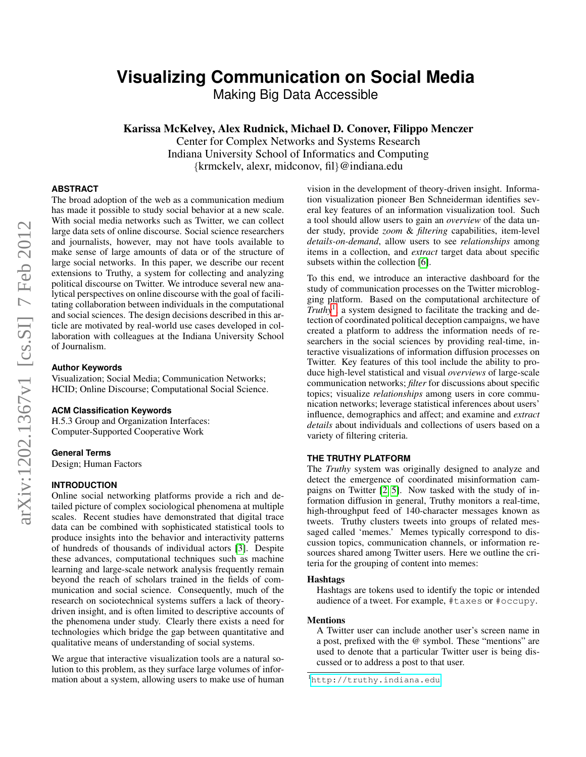# **Visualizing Communication on Social Media**

Making Big Data Accessible

Karissa McKelvey, Alex Rudnick, Michael D. Conover, Filippo Menczer

Center for Complex Networks and Systems Research Indiana University School of Informatics and Computing {krmckelv, alexr, midconov, fil}@indiana.edu

## **ABSTRACT**

The broad adoption of the web as a communication medium has made it possible to study social behavior at a new scale. With social media networks such as Twitter, we can collect large data sets of online discourse. Social science researchers and journalists, however, may not have tools available to make sense of large amounts of data or of the structure of large social networks. In this paper, we describe our recent extensions to Truthy, a system for collecting and analyzing political discourse on Twitter. We introduce several new analytical perspectives on online discourse with the goal of facilitating collaboration between individuals in the computational and social sciences. The design decisions described in this article are motivated by real-world use cases developed in collaboration with colleagues at the Indiana University School of Journalism.

## **Author Keywords**

Visualization; Social Media; Communication Networks; HCID; Online Discourse; Computational Social Science.

## **ACM Classification Keywords**

H.5.3 Group and Organization Interfaces: Computer-Supported Cooperative Work

#### **General Terms**

Design; Human Factors

#### **INTRODUCTION**

Online social networking platforms provide a rich and detailed picture of complex sociological phenomena at multiple scales. Recent studies have demonstrated that digital trace data can be combined with sophisticated statistical tools to produce insights into the behavior and interactivity patterns of hundreds of thousands of individual actors [\[3\]](#page-3-0). Despite these advances, computational techniques such as machine learning and large-scale network analysis frequently remain beyond the reach of scholars trained in the fields of communication and social science. Consequently, much of the research on sociotechnical systems suffers a lack of theorydriven insight, and is often limited to descriptive accounts of the phenomena under study. Clearly there exists a need for technologies which bridge the gap between quantitative and qualitative means of understanding of social systems.

We argue that interactive visualization tools are a natural solution to this problem, as they surface large volumes of information about a system, allowing users to make use of human

vision in the development of theory-driven insight. Information visualization pioneer Ben Schneiderman identifies several key features of an information visualization tool. Such a tool should allow users to gain an *overview* of the data under study, provide *zoom* & *filtering* capabilities, item-level *details-on-demand*, allow users to see *relationships* among items in a collection, and *extract* target data about specific subsets within the collection [\[6\]](#page-3-1).

To this end, we introduce an interactive dashboard for the study of communication processes on the Twitter microblogging platform. Based on the computational architecture of *Truthy*[1](#page-0-0) , a system designed to facilitate the tracking and detection of coordinated political deception campaigns, we have created a platform to address the information needs of researchers in the social sciences by providing real-time, interactive visualizations of information diffusion processes on Twitter. Key features of this tool include the ability to produce high-level statistical and visual *overviews* of large-scale communication networks; *filter* for discussions about specific topics; visualize *relationships* among users in core communication networks; leverage statistical inferences about users' influence, demographics and affect; and examine and *extract details* about individuals and collections of users based on a variety of filtering criteria.

## **THE TRUTHY PLATFORM**

The *Truthy* system was originally designed to analyze and detect the emergence of coordinated misinformation campaigns on Twitter [\[2,](#page-3-2) [5\]](#page-3-3). Now tasked with the study of information diffusion in general, Truthy monitors a real-time, high-throughput feed of 140-character messages known as tweets. Truthy clusters tweets into groups of related messaged called 'memes.' Memes typically correspond to discussion topics, communication channels, or information resources shared among Twitter users. Here we outline the criteria for the grouping of content into memes:

#### Hashtags

Hashtags are tokens used to identify the topic or intended audience of a tweet. For example, #taxes or #occupy.

#### Mentions

A Twitter user can include another user's screen name in a post, prefixed with the @ symbol. These "mentions" are used to denote that a particular Twitter user is being discussed or to address a post to that user.

<span id="page-0-0"></span><sup>1</sup><http://truthy.indiana.edu>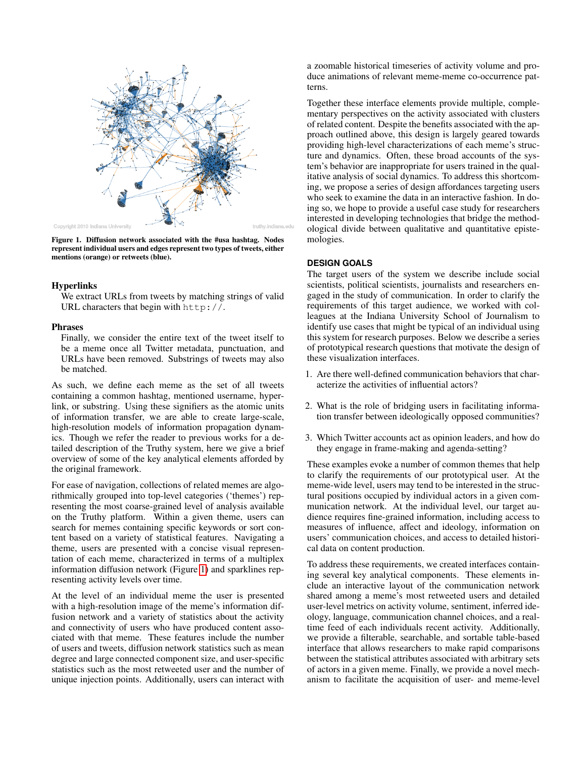

<span id="page-1-0"></span>Figure 1. Diffusion network associated with the #usa hashtag. Nodes represent individual users and edges represent two types of tweets, either mentions (orange) or retweets (blue).

#### Hyperlinks

We extract URLs from tweets by matching strings of valid URL characters that begin with http://.

#### Phrases

Finally, we consider the entire text of the tweet itself to be a meme once all Twitter metadata, punctuation, and URLs have been removed. Substrings of tweets may also be matched.

As such, we define each meme as the set of all tweets containing a common hashtag, mentioned username, hyperlink, or substring. Using these signifiers as the atomic units of information transfer, we are able to create large-scale, high-resolution models of information propagation dynamics. Though we refer the reader to previous works for a detailed description of the Truthy system, here we give a brief overview of some of the key analytical elements afforded by the original framework.

For ease of navigation, collections of related memes are algorithmically grouped into top-level categories ('themes') representing the most coarse-grained level of analysis available on the Truthy platform. Within a given theme, users can search for memes containing specific keywords or sort content based on a variety of statistical features. Navigating a theme, users are presented with a concise visual representation of each meme, characterized in terms of a multiplex information diffusion network (Figure [1\)](#page-1-0) and sparklines representing activity levels over time.

At the level of an individual meme the user is presented with a high-resolution image of the meme's information diffusion network and a variety of statistics about the activity and connectivity of users who have produced content associated with that meme. These features include the number of users and tweets, diffusion network statistics such as mean degree and large connected component size, and user-specific statistics such as the most retweeted user and the number of unique injection points. Additionally, users can interact with

a zoomable historical timeseries of activity volume and produce animations of relevant meme-meme co-occurrence patterns.

Together these interface elements provide multiple, complementary perspectives on the activity associated with clusters of related content. Despite the benefits associated with the approach outlined above, this design is largely geared towards providing high-level characterizations of each meme's structure and dynamics. Often, these broad accounts of the system's behavior are inappropriate for users trained in the qualitative analysis of social dynamics. To address this shortcoming, we propose a series of design affordances targeting users who seek to examine the data in an interactive fashion. In doing so, we hope to provide a useful case study for researchers interested in developing technologies that bridge the methodological divide between qualitative and quantitative epistemologies.

## **DESIGN GOALS**

The target users of the system we describe include social scientists, political scientists, journalists and researchers engaged in the study of communication. In order to clarify the requirements of this target audience, we worked with colleagues at the Indiana University School of Journalism to identify use cases that might be typical of an individual using this system for research purposes. Below we describe a series of prototypical research questions that motivate the design of these visualization interfaces.

- 1. Are there well-defined communication behaviors that characterize the activities of influential actors?
- 2. What is the role of bridging users in facilitating information transfer between ideologically opposed communities?
- 3. Which Twitter accounts act as opinion leaders, and how do they engage in frame-making and agenda-setting?

These examples evoke a number of common themes that help to clarify the requirements of our prototypical user. At the meme-wide level, users may tend to be interested in the structural positions occupied by individual actors in a given communication network. At the individual level, our target audience requires fine-grained information, including access to measures of influence, affect and ideology, information on users' communication choices, and access to detailed historical data on content production.

To address these requirements, we created interfaces containing several key analytical components. These elements include an interactive layout of the communication network shared among a meme's most retweeted users and detailed user-level metrics on activity volume, sentiment, inferred ideology, language, communication channel choices, and a realtime feed of each individuals recent activity. Additionally, we provide a filterable, searchable, and sortable table-based interface that allows researchers to make rapid comparisons between the statistical attributes associated with arbitrary sets of actors in a given meme. Finally, we provide a novel mechanism to facilitate the acquisition of user- and meme-level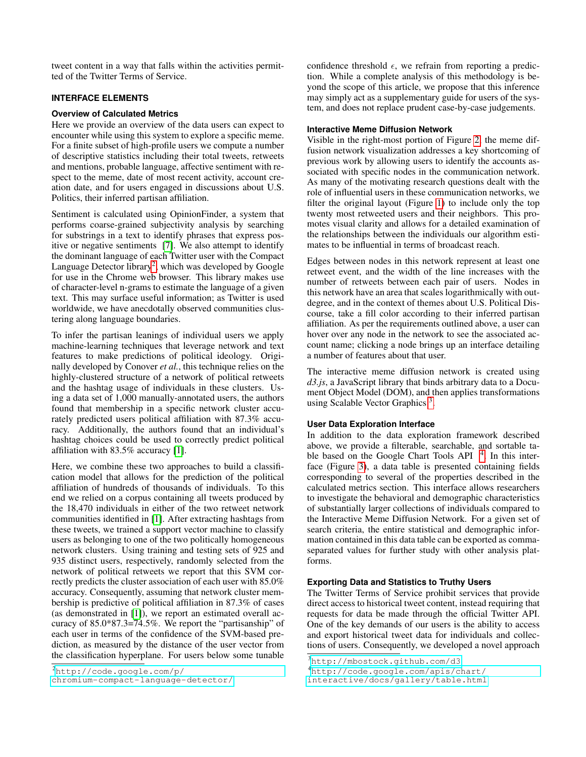tweet content in a way that falls within the activities permitted of the Twitter Terms of Service.

## **INTERFACE ELEMENTS**

## **Overview of Calculated Metrics**

Here we provide an overview of the data users can expect to encounter while using this system to explore a specific meme. For a finite subset of high-profile users we compute a number of descriptive statistics including their total tweets, retweets and mentions, probable language, affective sentiment with respect to the meme, date of most recent activity, account creation date, and for users engaged in discussions about U.S. Politics, their inferred partisan affiliation.

Sentiment is calculated using OpinionFinder, a system that performs coarse-grained subjectivity analysis by searching for substrings in a text to identify phrases that express positive or negative sentiments [\[7\]](#page-3-4). We also attempt to identify the dominant language of each Twitter user with the Compact Language Detector library<sup>[2](#page-2-0)</sup>, which was developed by Google for use in the Chrome web browser. This library makes use of character-level n-grams to estimate the language of a given text. This may surface useful information; as Twitter is used worldwide, we have anecdotally observed communities clustering along language boundaries.

To infer the partisan leanings of individual users we apply machine-learning techniques that leverage network and text features to make predictions of political ideology. Originally developed by Conover *et al.*, this technique relies on the highly-clustered structure of a network of political retweets and the hashtag usage of individuals in these clusters. Using a data set of 1,000 manually-annotated users, the authors found that membership in a specific network cluster accurately predicted users political affiliation with 87.3% accuracy. Additionally, the authors found that an individual's hashtag choices could be used to correctly predict political affiliation with 83.5% accuracy [\[1\]](#page-3-5).

Here, we combine these two approaches to build a classification model that allows for the prediction of the political affiliation of hundreds of thousands of individuals. To this end we relied on a corpus containing all tweets produced by the 18,470 individuals in either of the two retweet network communities identified in [\[1\]](#page-3-5). After extracting hashtags from these tweets, we trained a support vector machine to classify users as belonging to one of the two politically homogeneous network clusters. Using training and testing sets of 925 and 935 distinct users, respectively, randomly selected from the network of political retweets we report that this SVM correctly predicts the cluster association of each user with 85.0% accuracy. Consequently, assuming that network cluster membership is predictive of political affiliation in 87.3% of cases (as demonstrated in [\[1\]](#page-3-5)), we report an estimated overall accuracy of 85.0\*87.3=74.5%. We report the "partisanship" of each user in terms of the confidence of the SVM-based prediction, as measured by the distance of the user vector from the classification hyperplane. For users below some tunable

confidence threshold  $\epsilon$ , we refrain from reporting a prediction. While a complete analysis of this methodology is beyond the scope of this article, we propose that this inference may simply act as a supplementary guide for users of the system, and does not replace prudent case-by-case judgements.

## **Interactive Meme Diffusion Network**

Visible in the right-most portion of Figure [2,](#page-4-0) the meme diffusion network visualization addresses a key shortcoming of previous work by allowing users to identify the accounts associated with specific nodes in the communication network. As many of the motivating research questions dealt with the role of influential users in these communication networks, we filter the original layout (Figure [1\)](#page-1-0) to include only the top twenty most retweeted users and their neighbors. This promotes visual clarity and allows for a detailed examination of the relationships between the individuals our algorithm estimates to be influential in terms of broadcast reach.

Edges between nodes in this network represent at least one retweet event, and the width of the line increases with the number of retweets between each pair of users. Nodes in this network have an area that scales logarithmically with outdegree, and in the context of themes about U.S. Political Discourse, take a fill color according to their inferred partisan affiliation. As per the requirements outlined above, a user can hover over any node in the network to see the associated account name; clicking a node brings up an interface detailing a number of features about that user.

The interactive meme diffusion network is created using *d3.js*, a JavaScript library that binds arbitrary data to a Document Object Model (DOM), and then applies transformations using Scalable Vector Graphics<sup>[3](#page-2-1)</sup>.

## **User Data Exploration Interface**

In addition to the data exploration framework described above, we provide a filterable, searchable, and sortable table based on the Google Chart Tools API  $4$ . In this interface (Figure [3\)](#page-4-1), a data table is presented containing fields corresponding to several of the properties described in the calculated metrics section. This interface allows researchers to investigate the behavioral and demographic characteristics of substantially larger collections of individuals compared to the Interactive Meme Diffusion Network. For a given set of search criteria, the entire statistical and demographic information contained in this data table can be exported as commaseparated values for further study with other analysis platforms.

## **Exporting Data and Statistics to Truthy Users**

The Twitter Terms of Service prohibit services that provide direct access to historical tweet content, instead requiring that requests for data be made through the official Twitter API. One of the key demands of our users is the ability to access and export historical tweet data for individuals and collections of users. Consequently, we developed a novel approach

<span id="page-2-0"></span><sup>2</sup>[http://code.google.com/p/](http://code.google.com/p/chromium-compact-language-detector/)

[chromium-compact-language-detector/](http://code.google.com/p/chromium-compact-language-detector/)

<span id="page-2-1"></span><sup>3</sup><http://mbostock.github.com/d3>

<span id="page-2-2"></span><sup>4</sup>[http://code.google.com/apis/chart/](http://code.google.com/apis/chart/interactive/docs/gallery/table.html)

[interactive/docs/gallery/table.html](http://code.google.com/apis/chart/interactive/docs/gallery/table.html)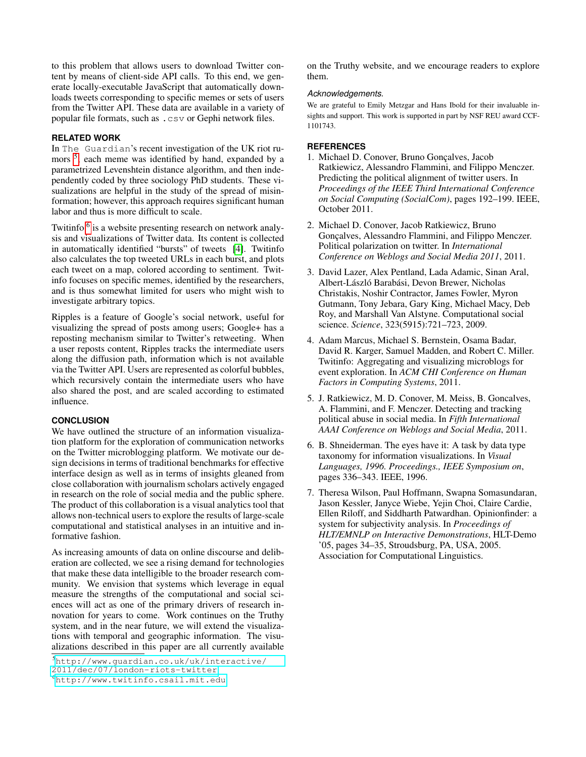to this problem that allows users to download Twitter content by means of client-side API calls. To this end, we generate locally-executable JavaScript that automatically downloads tweets corresponding to specific memes or sets of users from the Twitter API. These data are available in a variety of popular file formats, such as .csv or Gephi network files.

## **RELATED WORK**

In The Guardian's recent investigation of the UK riot ru-mors <sup>[5](#page-3-6)</sup>, each meme was identified by hand, expanded by a parametrized Levenshtein distance algorithm, and then independently coded by three sociology PhD students. These visualizations are helpful in the study of the spread of misinformation; however, this approach requires significant human labor and thus is more difficult to scale.

Twitinfo <sup>[6](#page-3-7)</sup> is a website presenting research on network analysis and visualizations of Twitter data. Its content is collected in automatically identified "bursts" of tweets [\[4\]](#page-3-8). Twitinfo also calculates the top tweeted URLs in each burst, and plots each tweet on a map, colored according to sentiment. Twitinfo focuses on specific memes, identified by the researchers, and is thus somewhat limited for users who might wish to investigate arbitrary topics.

Ripples is a feature of Google's social network, useful for visualizing the spread of posts among users; Google+ has a reposting mechanism similar to Twitter's retweeting. When a user reposts content, Ripples tracks the intermediate users along the diffusion path, information which is not available via the Twitter API. Users are represented as colorful bubbles, which recursively contain the intermediate users who have also shared the post, and are scaled according to estimated influence.

### **CONCLUSION**

We have outlined the structure of an information visualization platform for the exploration of communication networks on the Twitter microblogging platform. We motivate our design decisions in terms of traditional benchmarks for effective interface design as well as in terms of insights gleaned from close collaboration with journalism scholars actively engaged in research on the role of social media and the public sphere. The product of this collaboration is a visual analytics tool that allows non-technical users to explore the results of large-scale computational and statistical analyses in an intuitive and informative fashion.

As increasing amounts of data on online discourse and deliberation are collected, we see a rising demand for technologies that make these data intelligible to the broader research community. We envision that systems which leverage in equal measure the strengths of the computational and social sciences will act as one of the primary drivers of research innovation for years to come. Work continues on the Truthy system, and in the near future, we will extend the visualizations with temporal and geographic information. The visualizations described in this paper are all currently available

<span id="page-3-6"></span><sup>5</sup>[http://www.guardian.co.uk/uk/interactive/](http://www.guardian.co.uk/uk/interactive/2011/dec/07/london-riots-twitter) [2011/dec/07/london-riots-twitter](http://www.guardian.co.uk/uk/interactive/2011/dec/07/london-riots-twitter)

on the Truthy website, and we encourage readers to explore them.

#### *Acknowledgements.*

We are grateful to Emily Metzgar and Hans Ibold for their invaluable insights and support. This work is supported in part by NSF REU award CCF-1101743.

## <span id="page-3-5"></span>**REFERENCES**

- 1. Michael D. Conover, Bruno Goncalves, Jacob Ratkiewicz, Alessandro Flammini, and Filippo Menczer. Predicting the political alignment of twitter users. In *Proceedings of the IEEE Third International Conference on Social Computing (SocialCom)*, pages 192–199. IEEE, October 2011.
- <span id="page-3-2"></span>2. Michael D. Conover, Jacob Ratkiewicz, Bruno Gonçalves, Alessandro Flammini, and Filippo Menczer. Political polarization on twitter. In *International Conference on Weblogs and Social Media 2011*, 2011.
- <span id="page-3-0"></span>3. David Lazer, Alex Pentland, Lada Adamic, Sinan Aral, Albert-László Barabási, Devon Brewer, Nicholas Christakis, Noshir Contractor, James Fowler, Myron Gutmann, Tony Jebara, Gary King, Michael Macy, Deb Roy, and Marshall Van Alstyne. Computational social science. *Science*, 323(5915):721–723, 2009.
- <span id="page-3-8"></span>4. Adam Marcus, Michael S. Bernstein, Osama Badar, David R. Karger, Samuel Madden, and Robert C. Miller. Twitinfo: Aggregating and visualizing microblogs for event exploration. In *ACM CHI Conference on Human Factors in Computing Systems*, 2011.
- <span id="page-3-3"></span>5. J. Ratkiewicz, M. D. Conover, M. Meiss, B. Goncalves, A. Flammini, and F. Menczer. Detecting and tracking political abuse in social media. In *Fifth International AAAI Conference on Weblogs and Social Media*, 2011.
- <span id="page-3-1"></span>6. B. Shneiderman. The eyes have it: A task by data type taxonomy for information visualizations. In *Visual Languages, 1996. Proceedings., IEEE Symposium on*, pages 336–343. IEEE, 1996.
- <span id="page-3-4"></span>7. Theresa Wilson, Paul Hoffmann, Swapna Somasundaran, Jason Kessler, Janyce Wiebe, Yejin Choi, Claire Cardie, Ellen Riloff, and Siddharth Patwardhan. Opinionfinder: a system for subjectivity analysis. In *Proceedings of HLT/EMNLP on Interactive Demonstrations*, HLT-Demo '05, pages 34–35, Stroudsburg, PA, USA, 2005. Association for Computational Linguistics.

<span id="page-3-7"></span><sup>6</sup><http://www.twitinfo.csail.mit.edu>